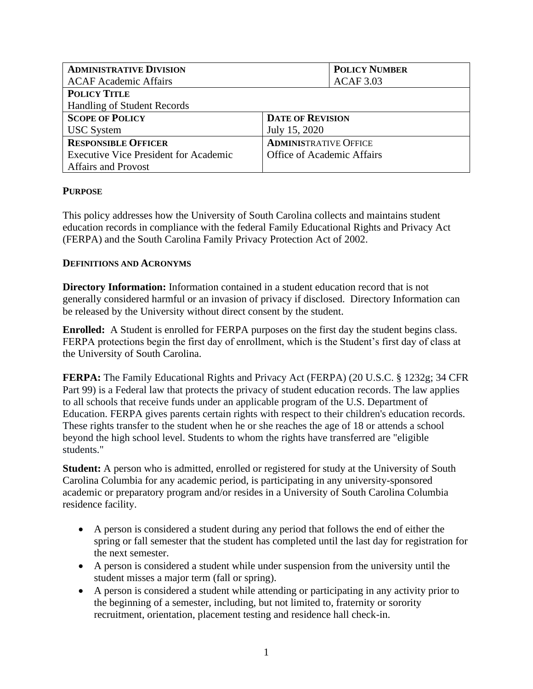| <b>ADMINISTRATIVE DIVISION</b>               | <b>POLICY NUMBER</b>         |
|----------------------------------------------|------------------------------|
| <b>ACAF Academic Affairs</b>                 | <b>ACAF 3.03</b>             |
| <b>POLICY TITLE</b>                          |                              |
| Handling of Student Records                  |                              |
| <b>SCOPE OF POLICY</b>                       | <b>DATE OF REVISION</b>      |
| <b>USC</b> System                            | July 15, 2020                |
| <b>RESPONSIBLE OFFICER</b>                   | <b>ADMINISTRATIVE OFFICE</b> |
| <b>Executive Vice President for Academic</b> | Office of Academic Affairs   |
| <b>Affairs and Provost</b>                   |                              |

## **PURPOSE**

This policy addresses how the University of South Carolina collects and maintains student education records in compliance with the federal Family Educational Rights and Privacy Act (FERPA) and the South Carolina Family Privacy Protection Act of 2002.

## **DEFINITIONS AND ACRONYMS**

**Directory Information:** Information contained in a student education record that is not generally considered harmful or an invasion of privacy if disclosed. Directory Information can be released by the University without direct consent by the student.

**Enrolled:** A Student is enrolled for FERPA purposes on the first day the student begins class. FERPA protections begin the first day of enrollment, which is the Student's first day of class at the University of South Carolina.

**FERPA:** The Family Educational Rights and Privacy Act (FERPA) (20 U.S.C. § 1232g; 34 CFR Part 99) is a Federal law that protects the privacy of student education records. The law applies to all schools that receive funds under an applicable program of the U.S. Department of Education. FERPA gives parents certain rights with respect to their children's education records. These rights transfer to the student when he or she reaches the age of 18 or attends a school beyond the high school level. Students to whom the rights have transferred are "eligible students."

**Student:** A person who is admitted, enrolled or registered for study at the University of South Carolina Columbia for any academic period, is participating in any university-sponsored academic or preparatory program and/or resides in a University of South Carolina Columbia residence facility.

- A person is considered a student during any period that follows the end of either the spring or fall semester that the student has completed until the last day for registration for the next semester.
- A person is considered a student while under suspension from the university until the student misses a major term (fall or spring).
- A person is considered a student while attending or participating in any activity prior to the beginning of a semester, including, but not limited to, fraternity or sorority recruitment, orientation, placement testing and residence hall check-in.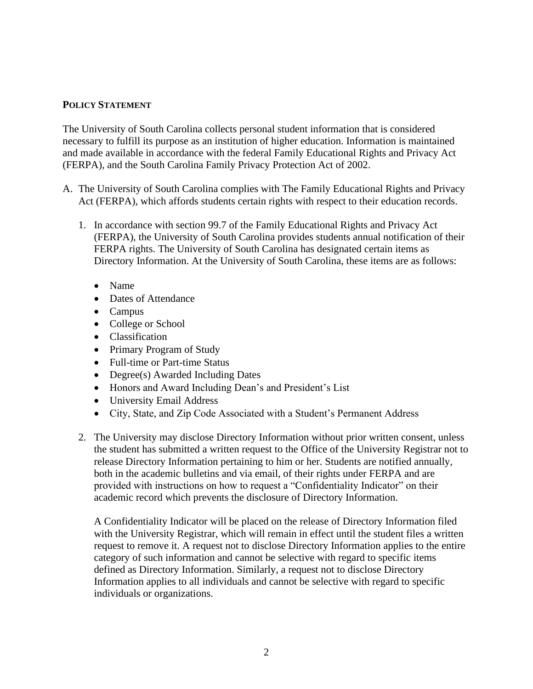## **POLICY STATEMENT**

The University of South Carolina collects personal student information that is considered necessary to fulfill its purpose as an institution of higher education. Information is maintained and made available in accordance with the federal Family Educational Rights and Privacy Act (FERPA), and the South Carolina Family Privacy Protection Act of 2002.

- A. The University of South Carolina complies with The Family Educational Rights and Privacy Act (FERPA), which affords students certain rights with respect to their education records.
	- 1. In accordance with section 99.7 of the Family Educational Rights and Privacy Act (FERPA), the University of South Carolina provides students annual notification of their FERPA rights. The University of South Carolina has designated certain items as Directory Information. At the University of South Carolina, these items are as follows:
		- Name
		- Dates of Attendance
		- Campus
		- College or School
		- Classification
		- Primary Program of Study
		- Full-time or Part-time Status
		- Degree(s) Awarded Including Dates
		- Honors and Award Including Dean's and President's List
		- University Email Address
		- City, State, and Zip Code Associated with a Student's Permanent Address
	- 2. The University may disclose Directory Information without prior written consent, unless the student has submitted a written request to the Office of the University Registrar not to release Directory Information pertaining to him or her. Students are notified annually, both in the academic bulletins and via email, of their rights under FERPA and are provided with instructions on how to request a "Confidentiality Indicator" on their academic record which prevents the disclosure of Directory Information.

A Confidentiality Indicator will be placed on the release of Directory Information filed with the University Registrar, which will remain in effect until the student files a written request to remove it. A request not to disclose Directory Information applies to the entire category of such information and cannot be selective with regard to specific items defined as Directory Information. Similarly, a request not to disclose Directory Information applies to all individuals and cannot be selective with regard to specific individuals or organizations.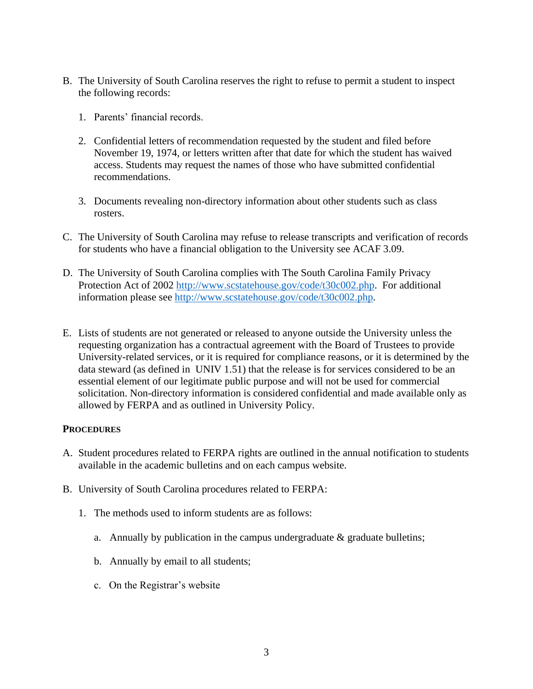- B. The University of South Carolina reserves the right to refuse to permit a student to inspect the following records:
	- 1. Parents' financial records.
	- 2. Confidential letters of recommendation requested by the student and filed before November 19, 1974, or letters written after that date for which the student has waived access. Students may request the names of those who have submitted confidential recommendations.
	- 3. Documents revealing non-directory information about other students such as class rosters.
- C. The University of South Carolina may refuse to release transcripts and verification of records for students who have a financial obligation to the University see ACAF 3.09.
- D. The University of South Carolina complies with The South Carolina Family Privacy Protection Act of 2002 [http://www.scstatehouse.gov/code/t30c002.php.](http://www.scstatehouse.gov/code/t30c002.php) For additional information please see [http://www.scstatehouse.gov/code/t30c002.php.](http://www.scstatehouse.gov/code/t30c002.php)
- E. Lists of students are not generated or released to anyone outside the University unless the requesting organization has a contractual agreement with the Board of Trustees to provide University-related services, or it is required for compliance reasons, or it is determined by the data steward (as defined in UNIV 1.51) that the release is for services considered to be an essential element of our legitimate public purpose and will not be used for commercial solicitation. Non-directory information is considered confidential and made available only as allowed by FERPA and as outlined in University Policy.

## **PROCEDURES**

- A. Student procedures related to FERPA rights are outlined in the annual notification to students available in the academic bulletins and on each campus website.
- B. University of South Carolina procedures related to FERPA:
	- 1. The methods used to inform students are as follows:
		- a. Annually by publication in the campus undergraduate  $\&$  graduate bulletins;
		- b. Annually by email to all students;
		- c. On the Registrar's website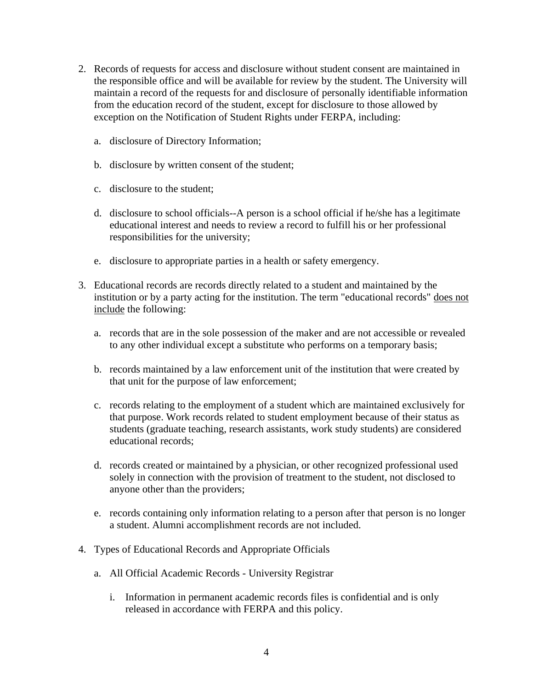- 2. Records of requests for access and disclosure without student consent are maintained in the responsible office and will be available for review by the student. The University will maintain a record of the requests for and disclosure of personally identifiable information from the education record of the student, except for disclosure to those allowed by exception on the Notification of Student Rights under FERPA, including:
	- a. disclosure of Directory Information;
	- b. disclosure by written consent of the student;
	- c. disclosure to the student;
	- d. disclosure to school officials--A person is a school official if he/she has a legitimate educational interest and needs to review a record to fulfill his or her professional responsibilities for the university;
	- e. disclosure to appropriate parties in a health or safety emergency.
- 3. Educational records are records directly related to a student and maintained by the institution or by a party acting for the institution. The term "educational records" does not include the following:
	- a. records that are in the sole possession of the maker and are not accessible or revealed to any other individual except a substitute who performs on a temporary basis;
	- b. records maintained by a law enforcement unit of the institution that were created by that unit for the purpose of law enforcement;
	- c. records relating to the employment of a student which are maintained exclusively for that purpose. Work records related to student employment because of their status as students (graduate teaching, research assistants, work study students) are considered educational records;
	- d. records created or maintained by a physician, or other recognized professional used solely in connection with the provision of treatment to the student, not disclosed to anyone other than the providers;
	- e. records containing only information relating to a person after that person is no longer a student. Alumni accomplishment records are not included.
- 4. Types of Educational Records and Appropriate Officials
	- a. All Official Academic Records University Registrar
		- i. Information in permanent academic records files is confidential and is only released in accordance with FERPA and this policy.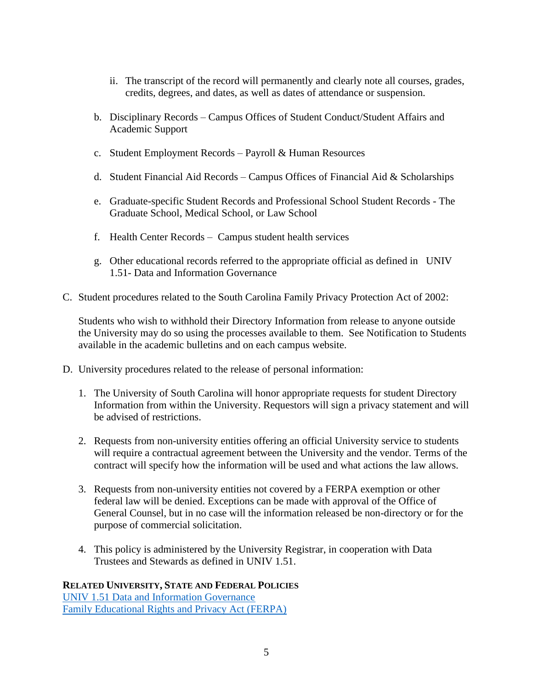- ii. The transcript of the record will permanently and clearly note all courses, grades, credits, degrees, and dates, as well as dates of attendance or suspension.
- b. Disciplinary Records Campus Offices of Student Conduct/Student Affairs and Academic Support
- c. Student Employment Records Payroll & Human Resources
- d. Student Financial Aid Records Campus Offices of Financial Aid  $\&$  Scholarships
- e. Graduate-specific Student Records and Professional School Student Records The Graduate School, Medical School, or Law School
- f. Health Center Records Campus student health services
- g. Other educational records referred to the appropriate official as defined in UNIV 1.51- Data and Information Governance
- C. Student procedures related to the South Carolina Family Privacy Protection Act of 2002:

Students who wish to withhold their Directory Information from release to anyone outside the University may do so using the processes available to them. See Notification to Students available in the academic bulletins and on each campus website.

- D. University procedures related to the release of personal information:
	- 1. The University of South Carolina will honor appropriate requests for student Directory Information from within the University. Requestors will sign a privacy statement and will be advised of restrictions.
	- 2. Requests from non-university entities offering an official University service to students will require a contractual agreement between the University and the vendor. Terms of the contract will specify how the information will be used and what actions the law allows.
	- 3. Requests from non-university entities not covered by a FERPA exemption or other federal law will be denied. Exceptions can be made with approval of the Office of General Counsel, but in no case will the information released be non-directory or for the purpose of commercial solicitation.
	- 4. This policy is administered by the University Registrar, in cooperation with Data Trustees and Stewards as defined in UNIV 1.51.

# **RELATED UNIVERSITY, STATE AND FEDERAL POLICIES**

[UNIV 1.51 Data and Information Governance](http://www.sc.edu/policies/ppm/univ151.pdf) [Family Educational Rights and Privacy Act \(FERPA\)](https://www2.ed.gov/policy/gen/guid/fpco/ferpa/index.html)